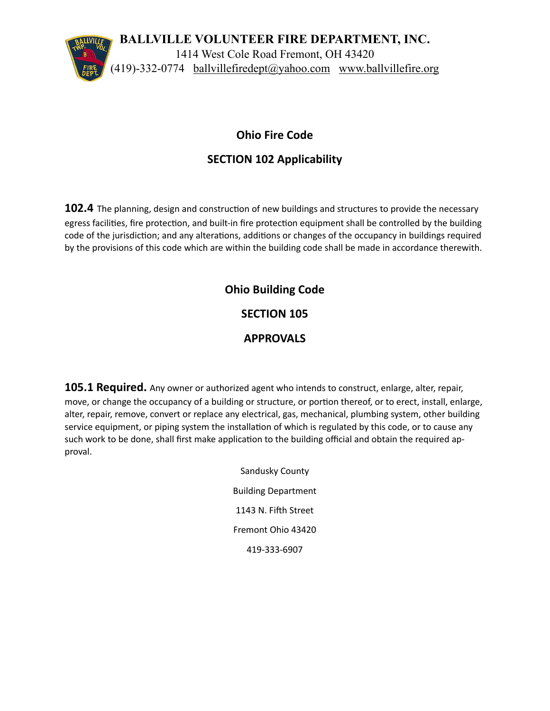

#### **Ohio Fire Code**

### **SECTION 102 Applicability**

**102.4** The planning, design and construction of new buildings and structures to provide the necessary egress facilities, fire protection, and built-in fire protection equipment shall be controlled by the building code of the jurisdiction; and any alterations, additions or changes of the occupancy in buildings required by the provisions of this code which are within the building code shall be made in accordance therewith.

# **Ohio Building Code**

#### **SECTION 105**

#### **APPROVALS**

**105.1 Required.** Any owner or authorized agent who intends to construct, enlarge, alter, repair, move, or change the occupancy of a building or structure, or portion thereof, or to erect, install, enlarge, alter, repair, remove, convert or replace any electrical, gas, mechanical, plumbing system, other building service equipment, or piping system the installation of which is regulated by this code, or to cause any such work to be done, shall first make application to the building official and obtain the required approval.

> Sandusky County Building Department 1143 N. Fifth Street Fremont Ohio 43420 419-333-6907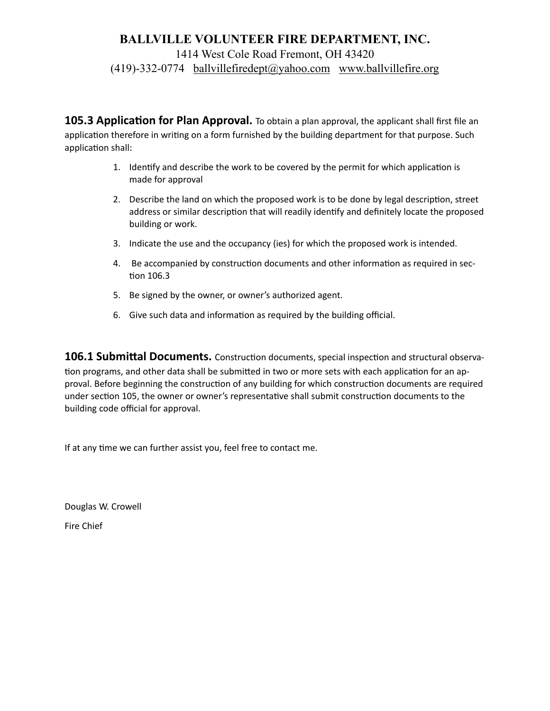#### **BALLVILLE VOLUNTEER FIRE DEPARTMENT, INC.**

1414 West Cole Road Fremont, OH 43420

 $(419)$ -332-0774 [ballvillefiredept@yahoo.com](mailto:ballvillefiredept@yahoo.com) www.ballvillefire.org

**105.3 Application for Plan Approval.** To obtain a plan approval, the applicant shall first file an application therefore in writing on a form furnished by the building department for that purpose. Such application shall:

- 1. Identify and describe the work to be covered by the permit for which application is made for approval
- 2. Describe the land on which the proposed work is to be done by legal description, street address or similar description that will readily identify and definitely locate the proposed building or work.
- 3. Indicate the use and the occupancy (ies) for which the proposed work is intended.
- 4. Be accompanied by construction documents and other information as required in section 106.3
- 5. Be signed by the owner, or owner's authorized agent.
- 6. Give such data and information as required by the building official.

**106.1 Submittal Documents.** Construction documents, special inspection and structural observation programs, and other data shall be submitted in two or more sets with each application for an approval. Before beginning the construction of any building for which construction documents are required under section 105, the owner or owner's representative shall submit construction documents to the building code official for approval.

If at any time we can further assist you, feel free to contact me.

Douglas W. Crowell Fire Chief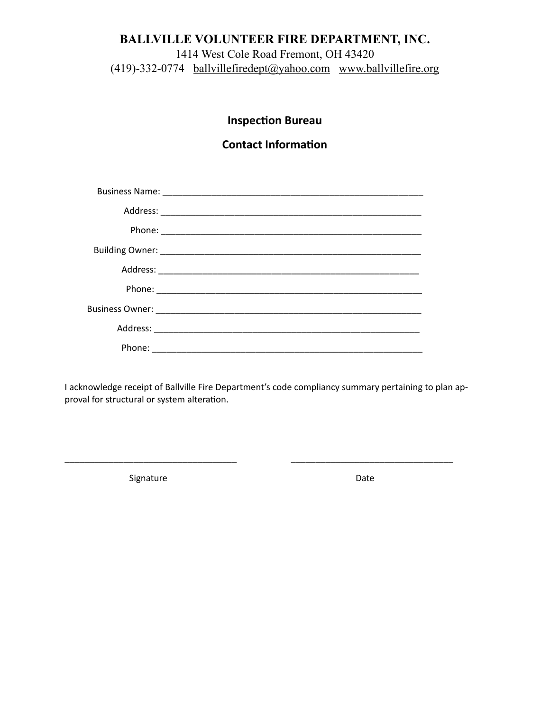### **BALLVILLE VOLUNTEER FIRE DEPARTMENT, INC.**

1414 West Cole Road Fremont, OH 43420 (419)-332-0774 [ballvillefiredept@yahoo.com](mailto:ballvillefiredept@yahoo.com) www.ballvillefire.org

## **Inspection Bureau**

### **Contact Information**

I acknowledge receipt of Ballville Fire Department's code compliancy summary pertaining to plan approval for structural or system alteration.

\_\_\_\_\_\_\_\_\_\_\_\_\_\_\_\_\_\_\_\_\_\_\_\_\_\_\_\_\_\_\_\_\_\_\_ \_\_\_\_\_\_\_\_\_\_\_\_\_\_\_\_\_\_\_\_\_\_\_\_\_\_\_\_\_\_\_\_\_

Signature Date Date